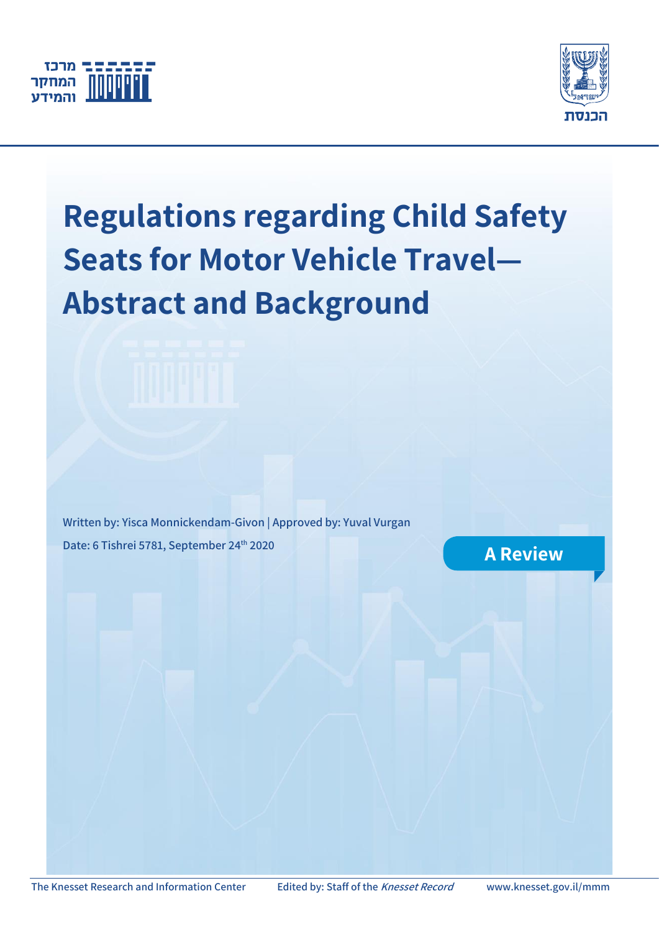



# **Regulations regarding Child Safety Seats for Motor Vehicle Travel— Abstract and Background**

**Written by: Yisca Monnickendam-Givon | Approved by: Yuval Vurgan Date: 6 Tishrei 5781, September 24<sup>th</sup> 2020 A Review**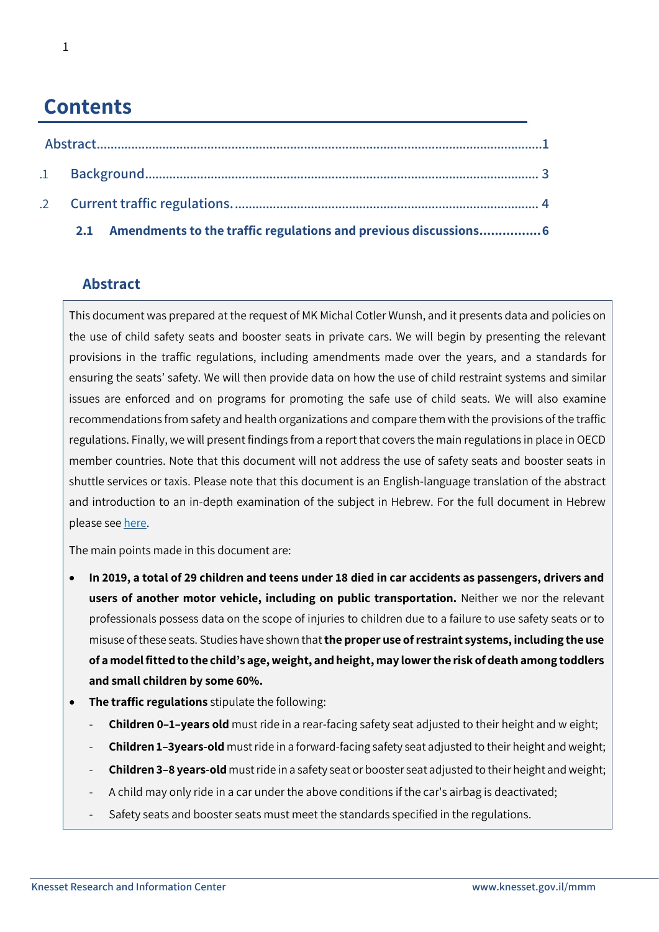## **Contents**

| 2.1 Amendments to the traffic regulations and previous discussions 6 |  |
|----------------------------------------------------------------------|--|

## <span id="page-1-0"></span>**Abstract**

This document was prepared at the request of MK Michal Cotler Wunsh, and it presents data and policies on the use of child safety seats and booster seats in private cars. We will begin by presenting the relevant provisions in the traffic regulations, including amendments made over the years, and a standards for ensuring the seats' safety. We will then provide data on how the use of child restraint systems and similar issues are enforced and on programs for promoting the safe use of child seats. We will also examine recommendations from safety and health organizations and compare them with the provisions of the traffic regulations. Finally, we will present findings from a report that covers the main regulations in place in OECD member countries. Note that this document will not address the use of safety seats and booster seats in shuttle services or taxis. Please note that this document is an English-language translation of the abstract and introduction to an in-depth examination of the subject in Hebrew. For the full document in Hebrew please see [here.](https://main.knesset.gov.il/Activity/Info/MMM/Pages/document.aspx?docId=c61958e3-1fc0-ea11-8118-00155d0af32a&businessType=1)

The main points made in this document are:

- **In 2019, a total of 29 children and teens under 18 died in car accidents as passengers, drivers and users of another motor vehicle, including on public transportation.** Neither we nor the relevant professionals possess data on the scope of injuries to children due to a failure to use safety seats or to misuse of these seats. Studies have shown that **the proper use of restraint systems, including the use of a model fitted to the child's age, weight, and height, may lower the risk of death among toddlers and small children by some 60%.**
- **The traffic regulations** stipulate the following:
	- **Children 0–1–years old** must ride in a rear-facing safety seat adjusted to their height and w eight;
	- **Children 1–3years-old** must ride in a forward-facing safety seat adjusted to their height and weight;
	- **Children 3–8 years-old** must ride in a safety seat or booster seat adjusted to their height and weight;
	- A child may only ride in a car under the above conditions if the car's airbag is deactivated;
	- Safety seats and booster seats must meet the standards specified in the regulations.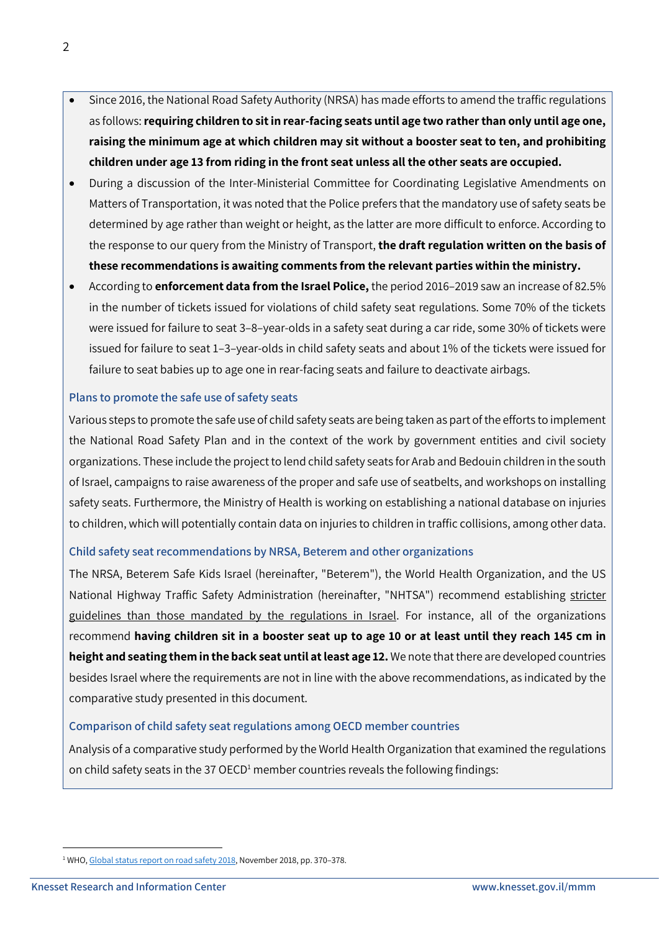- Since 2016, the National Road Safety Authority (NRSA) has made efforts to amend the traffic regulations as follows:**requiring children to sit in rear-facing seats until age two rather than only until age one, raising the minimum age at which children may sit without a booster seat to ten, and prohibiting children under age 13 from riding in the front seat unless all the other seats are occupied.**
- During a discussion of the Inter-Ministerial Committee for Coordinating Legislative Amendments on Matters of Transportation, it was noted that the Police prefers that the mandatory use of safety seats be determined by age rather than weight or height, as the latter are more difficult to enforce. According to the response to our query from the Ministry of Transport, **the draft regulation written on the basis of these recommendations is awaiting comments from the relevant parties within the ministry.**
- According to **enforcement data from the Israel Police,** the period 2016–2019 saw an increase of 82.5% in the number of tickets issued for violations of child safety seat regulations. Some 70% of the tickets were issued for failure to seat 3–8–year-olds in a safety seat during a car ride, some 30% of tickets were issued for failure to seat 1–3–year-olds in child safety seats and about 1% of the tickets were issued for failure to seat babies up to age one in rear-facing seats and failure to deactivate airbags.

#### **Plans to promote the safe use of safety seats**

Various steps to promote the safe use of child safety seats are being taken as part of the efforts to implement the National Road Safety Plan and in the context of the work by government entities and civil society organizations. These include the project to lend child safety seats for Arab and Bedouin children in the south of Israel, campaigns to raise awareness of the proper and safe use of seatbelts, and workshops on installing safety seats. Furthermore, the Ministry of Health is working on establishing a national database on injuries to children, which will potentially contain data on injuries to children in traffic collisions, among other data.

#### **Child safety seat recommendations by NRSA, Beterem and other organizations**

The NRSA, Beterem Safe Kids Israel (hereinafter, "Beterem"), the World Health Organization, and the US National Highway Traffic Safety Administration (hereinafter, "NHTSA") recommend establishing stricter guidelines than those mandated by the regulations in Israel. For instance, all of the organizations recommend **having children sit in a booster seat up to age 10 or at least until they reach 145 cm in height and seating them in the back seat until at least age 12.** We note that there are developed countries besides Israel where the requirements are not in line with the above recommendations, as indicated by the comparative study presented in this document.

#### **Comparison of child safety seat regulations among OECD member countries**

Analysis of a comparative study performed by the World Health Organization that examined the regulations on child safety seats in the 37 OECD<sup>1</sup> member countries reveals the following findings:

1

<sup>&</sup>lt;sup>1</sup> WHO[, Global status report on road safety 2018,](https://apps.who.int/iris/rest/bitstreams/1164010/retrieve) November 2018, pp. 370-378.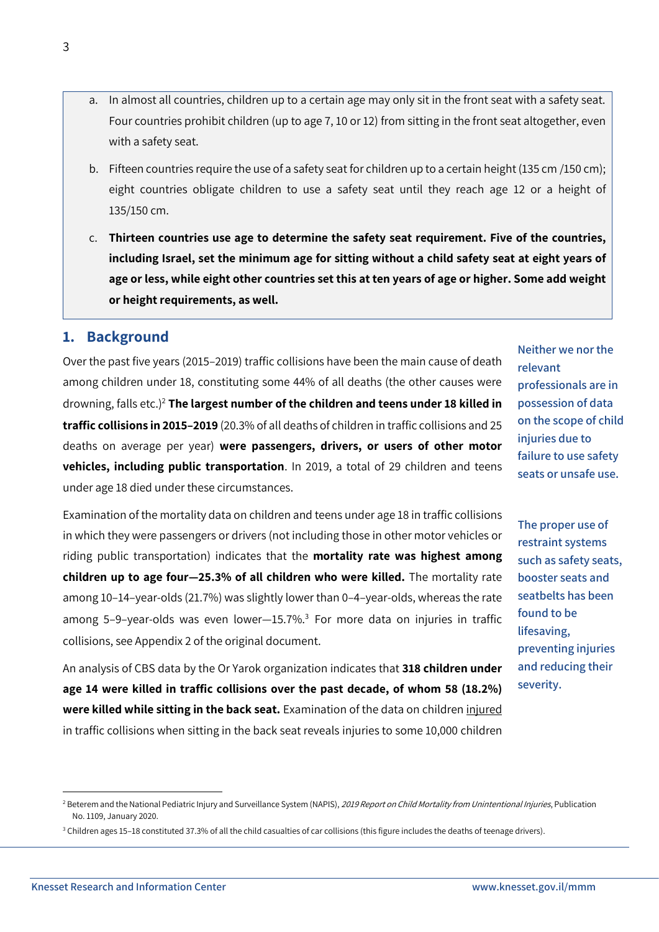3

- a. In almost all countries, children up to a certain age may only sit in the front seat with a safety seat. Four countries prohibit children (up to age 7, 10 or 12) from sitting in the front seat altogether, even with a safety seat.
- b. Fifteen countries require the use of a safety seat for children up to a certain height (135 cm /150 cm); eight countries obligate children to use a safety seat until they reach age 12 or a height of 135/150 cm.
- c. **Thirteen countries use age to determine the safety seat requirement. Five of the countries, including Israel, set the minimum age for sitting without a child safety seat at eight years of age or less, while eight other countries set this at ten years of age or higher. Some add weight or height requirements, as well.**

## <span id="page-3-0"></span>**1. Background**

Over the past five years (2015–2019) traffic collisions have been the main cause of death among children under 18, constituting some 44% of all deaths (the other causes were drowning, falls etc.)<sup>2</sup> **The largest number of the children and teens under 18 killed in traffic collisions in 2015–2019** (20.3% of all deaths of children in traffic collisions and 25 deaths on average per year) **were passengers, drivers, or users of other motor vehicles, including public transportation**. In 2019, a total of 29 children and teens under age 18 died under these circumstances.

Examination of the mortality data on children and teens under age 18 in traffic collisions in which they were passengers or drivers (not including those in other motor vehicles or riding public transportation) indicates that the **mortality rate was highest among children up to age four—25.3% of all children who were killed.** The mortality rate among 10–14–year-olds (21.7%) was slightly lower than 0–4–year-olds, whereas the rate among 5-9-year-olds was even lower-15.7%.<sup>3</sup> For more data on injuries in traffic collisions, see Appendix 2 of the original document.

An analysis of CBS data by the Or Yarok organization indicates that **318 children under age 14 were killed in traffic collisions over the past decade, of whom 58 (18.2%) were killed while sitting in the back seat.** Examination of the data on children injured in traffic collisions when sitting in the back seat reveals injuries to some 10,000 children

**Neither we nor the relevant professionals are in possession of data on the scope of child injuries due to failure to use safety seats or unsafe use.**

**The proper use of restraint systems such as safety seats, booster seats and seatbelts has been found to be lifesaving, preventing injuries and reducing their severity.**

 $\overline{a}$ 

<sup>&</sup>lt;sup>2</sup> Beterem and the National Pediatric Injury and Surveillance System (NAPIS), 2019 Report on Child Mortality from Unintentional Injuries, Publication No. 1109, January 2020.

<sup>&</sup>lt;sup>3</sup> Children ages 15-18 constituted 37.3% of all the child casualties of car collisions (this figure includes the deaths of teenage drivers).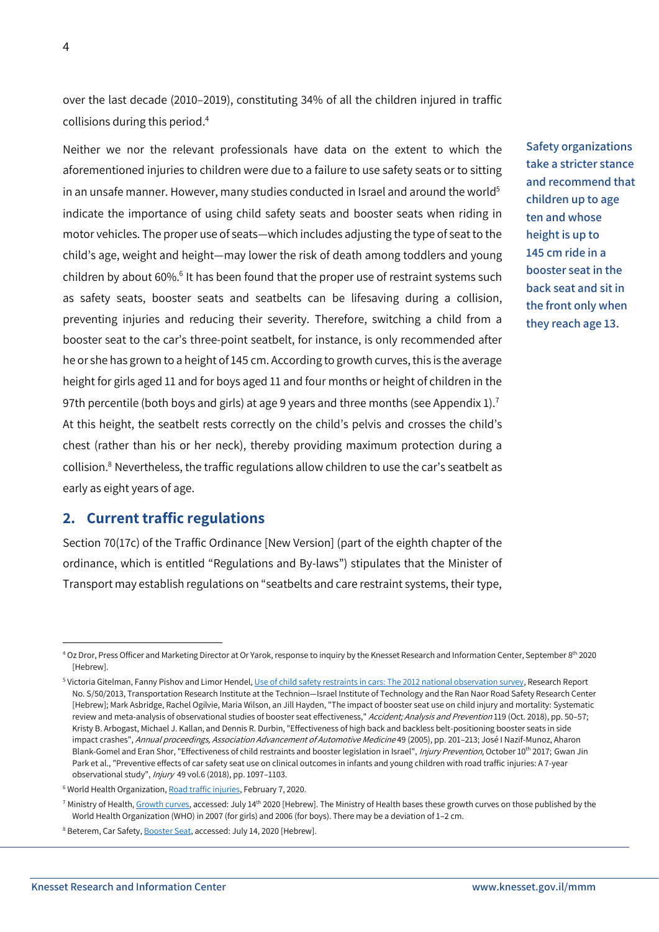over the last decade (2010–2019), constituting 34% of all the children injured in traffic collisions during this period. 4

Neither we nor the relevant professionals have data on the extent to which the aforementioned injuries to children were due to a failure to use safety seats or to sitting in an unsafe manner. However, many studies conducted in Israel and around the world<sup>5</sup> indicate the importance of using child safety seats and booster seats when riding in motor vehicles. The proper use of seats—which includes adjusting the type of seat to the child's age, weight and height—may lower the risk of death among toddlers and young children by about 60%.<sup>6</sup> It has been found that the proper use of restraint systems such as safety seats, booster seats and seatbelts can be lifesaving during a collision, preventing injuries and reducing their severity. Therefore, switching a child from a booster seat to the car's three-point seatbelt, for instance, is only recommended after he or she has grown to a height of 145 cm. According to growth curves, this is the average height for girls aged 11 and for boys aged 11 and four months or height of children in the 97th percentile (both boys and girls) at age 9 years and three months (see Appendix 1).<sup>7</sup> At this height, the seatbelt rests correctly on the child's pelvis and crosses the child's chest (rather than his or her neck), thereby providing maximum protection during a collision. $8$  Nevertheless, the traffic regulations allow children to use the car's seatbelt as early as eight years of age.

**Safety organizations take a stricter stance and recommend that children up to age ten and whose height is up to 145 cm ride in a booster seat in the back seat and sit in the front only when they reach age 13.**

#### <span id="page-4-0"></span>**2. Current traffic regulations**

Section 70(17c) of the Traffic Ordinance [New Version] (part of the eighth chapter of the ordinance, which is entitled "Regulations and By-laws") stipulates that the Minister of Transport may establish regulations on "seatbelts and care restraint systems, their type,

**.** 

<sup>&</sup>lt;sup>4</sup> Oz Dror, Press Officer and Marketing Director at Or Yarok, response to inquiry by the Knesset Research and Information Center, September 8<sup>th</sup> 2020 [Hebrew].

<sup>&</sup>lt;sup>5</sup> Victoria Gitelman, Fanny Pishov and Limor Hendel[, Use of child safety restraints in cars: The 2012 national observation survey,](https://tri.net.technion.ac.il/files/2016/08/%d7%a9%d7%99%d7%9e%d7%95%d7%a9-%d7%91%d7%90%d7%9e%d7%a6%d7%a2%d7%99-%d7%91%d7%98%d7%99%d7%97%d7%95%d7%aa-%d7%9c%d7%99%d7%9c%d7%93%d7%99%d7%9d-%d7%91%d7%9b%d7%9c%d7%99-%d7%a8%d7%9b%d7%91-%d7%a4%d7%a8%d7%98%d7%99%d7%99%d7%9d-%d7%a1%d7%a7%d7%a8-%d7%aa%d7%a6%d7%a4%d7%99%d7%95%d7%aa-%d7%90%d7%a8%d7%a6%d7%99-2012.pdf) Research Report No. S/50/2013, Transportation Research Institute at the Technion—Israel Institute of Technology and the Ran Naor Road Safety Research Center [Hebrew]; Mark Asbridge, Rachel Ogilvie, Maria Wilson, an Jill Hayden, "The impact of booster seat use on child injury and mortality: Systematic review and meta-analysis of observational studies of booster seat effectiveness," Accident; Analysis and Prevention 119 (Oct. 2018), pp. 50-57; Kristy B. Arbogast, Michael J. Kallan, and Dennis R. Durbin, "Effectiveness of high back and backless belt-positioning booster seats in side impact crashes", Annual proceedings, Association Advancement of Automotive Medicine 49 (2005), pp. 201-213; José I Nazif-Munoz, Aharon Blank-Gomel and Eran Shor, "Effectiveness of child restraints and booster legislation in Israel", *Injury Prevention*, October 10<sup>th</sup> 2017; Gwan Jin Park et al., "Preventive effects of car safety seat use on clinical outcomes in infants and young children with road traffic injuries: A 7-year observational study", Injury 49 vol.6 (2018), pp. 1097–1103.

<sup>&</sup>lt;sup>6</sup> World Health Organization[, Road traffic injuries,](https://www.who.int/news-room/fact-sheets/detail/road-traffic-injuries) February 7, 2020.

<sup>&</sup>lt;sup>7</sup> Ministry of Health[, Growth curves,](https://www.health.gov.il/Subjects/KidsAndMatures/Pages/curves.aspx) accessed: July 14<sup>th</sup> 2020 [Hebrew]. The Ministry of Health bases these growth curves on those published by the World Health Organization (WHO) in 2007 (for girls) and 2006 (for boys). There may be a deviation of 1–2 cm.

<sup>&</sup>lt;sup>8</sup> Beterem, Car Safety, **Booster Seat**, accessed: July 14, 2020 [Hebrew].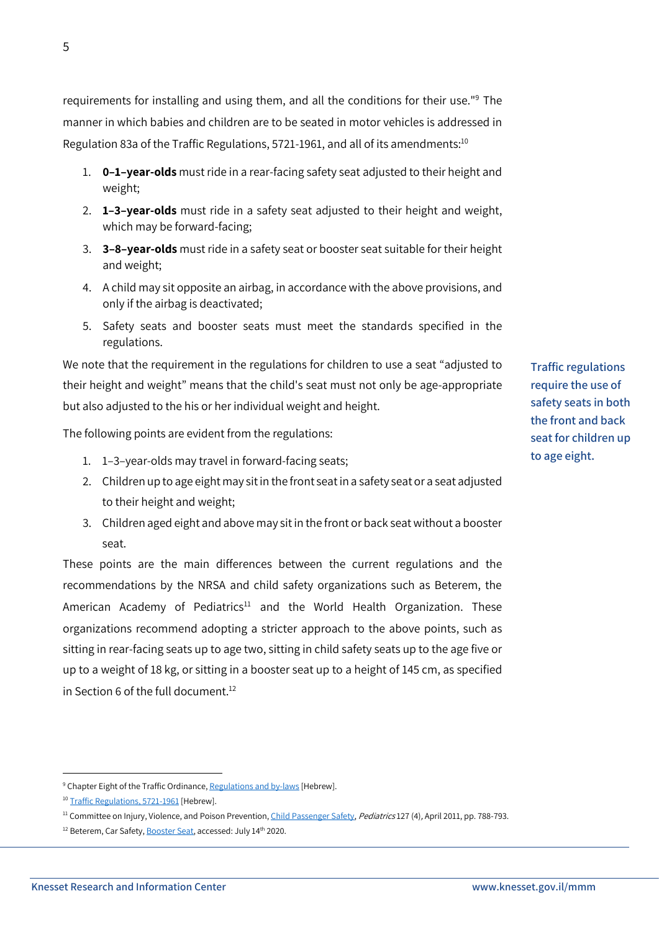**Knesset Research and Information Center www.knesset.gov.il/mmm**

requirements for installing and using them, and all the conditions for their use."<sup>9</sup> The manner in which babies and children are to be seated in motor vehicles is addressed in Regulation 83a of the Traffic Regulations, 5721-1961, and all of its amendments: $^{10}$ 

- 1. **0–1–year-olds** must ride in a rear-facing safety seat adjusted to their height and weight;
- 2. **1–3–year-olds** must ride in a safety seat adjusted to their height and weight, which may be forward-facing;
- 3. **3–8–year-olds** must ride in a safety seat or booster seat suitable for their height and weight;
- 4. A child may sit opposite an airbag, in accordance with the above provisions, and only if the airbag is deactivated;
- 5. Safety seats and booster seats must meet the standards specified in the regulations.

We note that the requirement in the regulations for children to use a seat "adjusted to their height and weight" means that the child's seat must not only be age-appropriate but also adjusted to the his or her individual weight and height.

The following points are evident from the regulations:

- 1. 1–3–year-olds may travel in forward-facing seats;
- 2. Children up to age eight may sit in the front seat in a safety seat or a seat adjusted to their height and weight;
- 3. Children aged eight and above may sit in the front or back seat without a booster seat.

These points are the main differences between the current regulations and the recommendations by the NRSA and child safety organizations such as Beterem, the American Academy of Pediatrics<sup>11</sup> and the World Health Organization. These organizations recommend adopting a stricter approach to the above points, such as sitting in rear-facing seats up to age two, sitting in child safety seats up to the age five or up to a weight of 18 kg, or sitting in a booster seat up to a height of 145 cm, as specified in Section 6 of the full document. 12

**.** 

**Traffic regulations require the use of safety seats in both the front and back seat for children up to age eight.**

<sup>&</sup>lt;sup>9</sup> Chapter Eight of the Traffic Ordinance[, Regulations and by-laws](https://www.nevo.co.il/law_html/law01/p230_001.htm#med8) [Hebrew].

<sup>&</sup>lt;sup>10</sup> [Traffic Regulations, 5721-1961](https://www.nevo.co.il/law_html/law01/p230_011.htm) [Hebrew].

<sup>&</sup>lt;sup>11</sup> Committee on Injury, Violence, and Poison Prevention, *Child Passenger Safety, Pediatrics* 127 (4), April 2011, pp. 788-793.

<sup>&</sup>lt;sup>12</sup> Beterem, Car Safety, **Booster Seat**, accessed: July 14<sup>th</sup> 2020.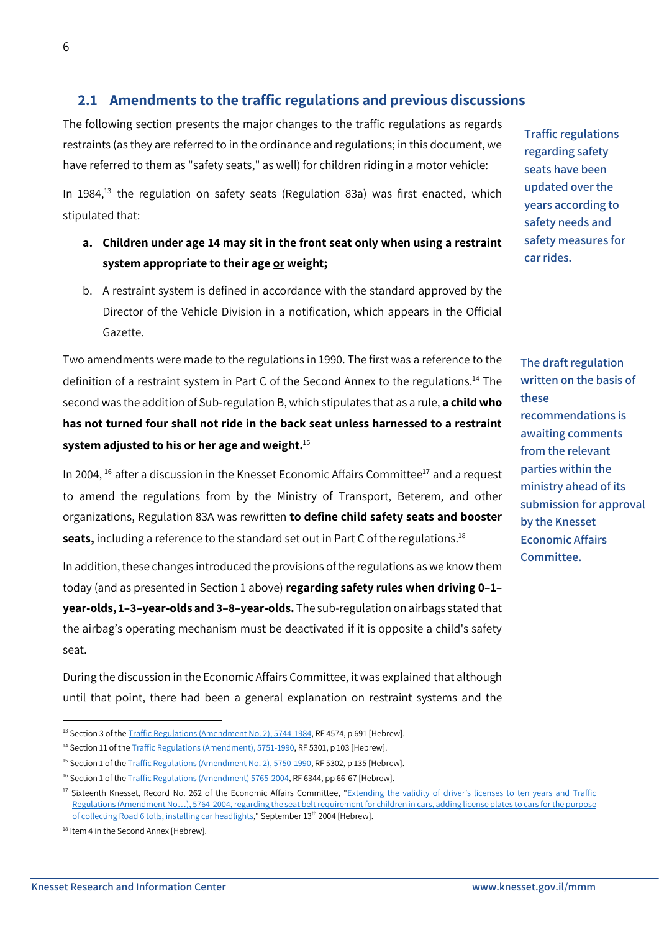### <span id="page-6-0"></span>**2.1 Amendments to the traffic regulations and previous discussions**

The following section presents the major changes to the traffic regulations as regards restraints (as they are referred to in the ordinance and regulations; in this document, we have referred to them as "safety seats," as well) for children riding in a motor vehicle:

In  $1984$ <sup>13</sup> the regulation on safety seats (Regulation 83a) was first enacted, which stipulated that:

- **a. Children under age 14 may sit in the front seat only when using a restraint system appropriate to their age or weight;**
- b. A restraint system is defined in accordance with the standard approved by the Director of the Vehicle Division in a notification, which appears in the Official Gazette.

Two amendments were made to the regulations in 1990. The first was a reference to the definition of a restraint system in Part C of the Second Annex to the regulations.<sup>14</sup> The second was the addition of Sub-regulation B, which stipulates that as a rule, **a child who has not turned four shall not ride in the back seat unless harnessed to a restraint system adjusted to his or her age and weight.**<sup>15</sup>

In 2004,  $^{16}$  after a discussion in the Knesset Economic Affairs Committee $^{17}$  and a request to amend the regulations from by the Ministry of Transport, Beterem, and other organizations, Regulation 83A was rewritten **to define child safety seats and booster**  seats, including a reference to the standard set out in Part C of the regulations.<sup>18</sup>

In addition, these changes introduced the provisions of the regulations as we know them today (and as presented in Section 1 above) **regarding safety rules when driving 0–1– year-olds, 1–3–year-olds and 3–8–year-olds.** The sub-regulation on airbags stated that the airbag's operating mechanism must be deactivated if it is opposite a child's safety seat.

During the discussion in the Economic Affairs Committee, it was explained that although until that point, there had been a general explanation on restraint systems and the

**.** 

**Traffic regulations regarding safety seats have been updated over the years according to safety needs and safety measures for car rides.**

**The draft regulation written on the basis of these recommendations is awaiting comments from the relevant parties within the ministry ahead of its submission for approval by the Knesset Economic Affairs Committee.**

<sup>&</sup>lt;sup>13</sup> Section 3 of th[e Traffic Regulations \(Amendment No. 2\), 5744-1984,](https://www.nevo.co.il/Law_word/law06/TAK-4574.pdf) RF 4574, p 691 [Hebrew].

<sup>&</sup>lt;sup>14</sup> Section 11 of th[e Traffic Regulations \(Amendment\), 5751-1990,](https://www.nevo.co.il/Law_word/law06/TAK-5301.pdf) RF 5301, p 103 [Hebrew].

<sup>&</sup>lt;sup>15</sup> Section 1 of th[e Traffic Regulations \(Amendment No. 2\), 5750-1990,](https://www.nevo.co.il/Law_word/law06/TAK-5302.pdf) RF 5302, p 135 [Hebrew].

<sup>&</sup>lt;sup>16</sup> Section 1 of the **Traffic Regulations (Amendment) 5765-2004**, RF 6344, pp 66-67 [Hebrew].

<sup>&</sup>lt;sup>17</sup> Sixteenth Knesset, Record No. 262 of the Economic Affairs Committee, "Extending the validity of driver's licenses to ten years and Traffic Regulations (Amendment No…), 5764[-2004, regarding the seat belt requirement for children in cars, adding license plates to cars for the purpose](https://main.knesset.gov.il/Activity/committees/Pages/AllCommitteesAgenda.aspx?Tab=3&ItemID=78145)  [of collecting Road 6 tolls, installing car headlights,"](https://main.knesset.gov.il/Activity/committees/Pages/AllCommitteesAgenda.aspx?Tab=3&ItemID=78145) September 13<sup>th</sup> 2004 [Hebrew].

<sup>&</sup>lt;sup>18</sup> Item 4 in the Second Annex [Hebrew].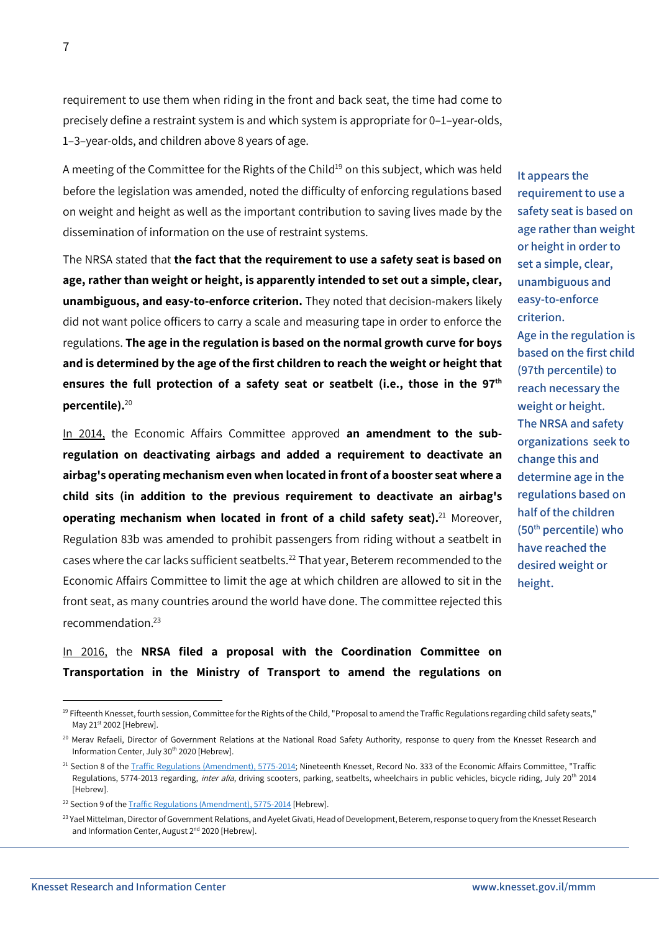1

requirement to use them when riding in the front and back seat, the time had come to precisely define a restraint system is and which system is appropriate for 0–1–year-olds, 1–3–year-olds, and children above 8 years of age.

A meeting of the Committee for the Rights of the Child<sup>19</sup> on this subject, which was held before the legislation was amended, noted the difficulty of enforcing regulations based on weight and height as well as the important contribution to saving lives made by the dissemination of information on the use of restraint systems.

The NRSA stated that **the fact that the requirement to use a safety seat is based on age, rather than weight or height, is apparently intended to set out a simple, clear, unambiguous, and easy-to-enforce criterion.** They noted that decision-makers likely did not want police officers to carry a scale and measuring tape in order to enforce the regulations. **The age in the regulation is based on the normal growth curve for boys and is determined by the age of the first children to reach the weight or height that ensures the full protection of a safety seat or seatbelt (i.e., those in the 97th percentile).** 20

In 2014, the Economic Affairs Committee approved **an amendment to the subregulation on deactivating airbags and added a requirement to deactivate an airbag's operating mechanism even when located in front of a booster seat where a child sits (in addition to the previous requirement to deactivate an airbag's operating mechanism when located in front of a child safety seat).**<sup>21</sup> Moreover, Regulation 83b was amended to prohibit passengers from riding without a seatbelt in cases where the car lacks sufficient seatbelts.<sup>22</sup> That year, Beterem recommended to the Economic Affairs Committee to limit the age at which children are allowed to sit in the front seat, as many countries around the world have done. The committee rejected this recommendation.<sup>23</sup>

In 2016, the **NRSA filed a proposal with the Coordination Committee on Transportation in the Ministry of Transport to amend the regulations on** 

**safety seat is based on age rather than weight or height in order to set a simple, clear, unambiguous and easy-to-enforce criterion. Age in the regulation is based on the first child (97th percentile) to reach necessary the weight or height. The NRSA and safety organizations seek to change this and determine age in the regulations based on half of the children (50th percentile) who have reached the desired weight or height.**

**It appears the** 

**requirement to use a** 

<sup>&</sup>lt;sup>19</sup> Fifteenth Knesset, fourth session, Committee for the Rights of the Child, "Proposal to amend the Traffic Regulations regarding child safety seats," May 21st 2002 [Hebrew].

<sup>&</sup>lt;sup>20</sup> Merav Refaeli, Director of Government Relations at the National Road Safety Authority, response to query from the Knesset Research and Information Center, July 30<sup>th</sup> 2020 [Hebrew].

<sup>&</sup>lt;sup>21</sup> Section 8 of th[e Traffic Regulations \(Amendment\), 5775-2014;](https://www.nevo.co.il/law_word/law06/tak-7450.pdf) Nineteenth Knesset, Record No. 333 of the Economic Affairs Committee, "Traffic Regulations, 5774-2013 regarding, inter alia, driving scooters, parking, seatbelts, wheelchairs in public vehicles, bicycle riding, July 20<sup>th</sup> 2014 [Hebrew].

<sup>&</sup>lt;sup>22</sup> Section 9 of the **Traffic Regulations** (Amendment), 5775-2014 [Hebrew].

<sup>&</sup>lt;sup>23</sup> Yael Mittelman, Director of Government Relations, and Ayelet Givati, Head of Development, Beterem, response to query from the Knesset Research and Information Center, August 2<sup>nd</sup> 2020 [Hebrew].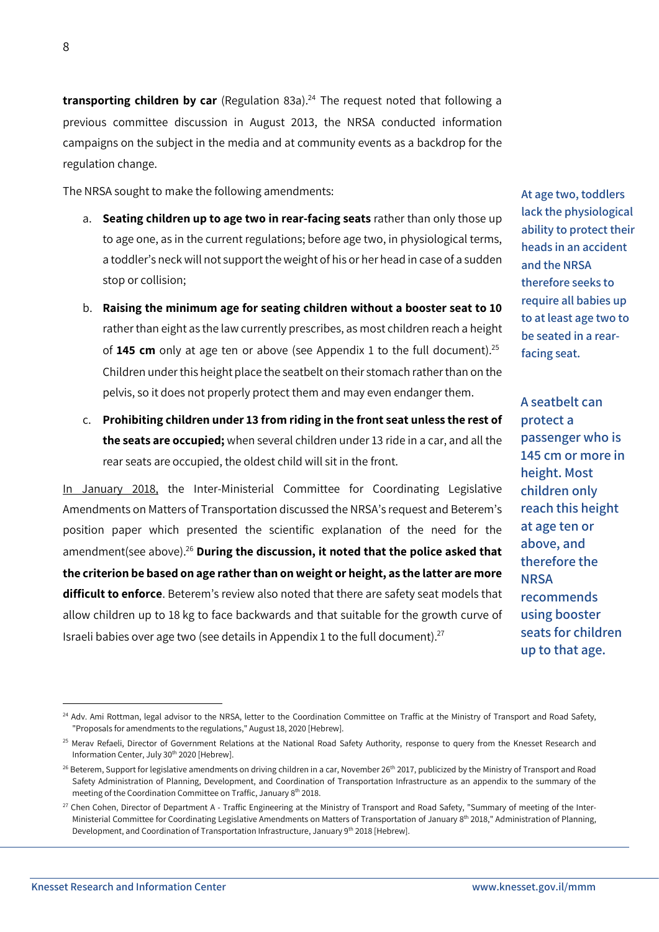**transporting children by car** (Regulation 83a).<sup>24</sup> The request noted that following a previous committee discussion in August 2013, the NRSA conducted information campaigns on the subject in the media and at community events as a backdrop for the regulation change.

The NRSA sought to make the following amendments:

- a. **Seating children up to age two in rear-facing seats** rather than only those up to age one, as in the current regulations; before age two, in physiological terms, a toddler's neck will not support the weight of his or her head in case of a sudden stop or collision;
- b. **Raising the minimum age for seating children without a booster seat to 10**  rather than eight as the law currently prescribes, as most children reach a height of **145 cm** only at age ten or above (see Appendix 1 to the full document).<sup>25</sup> Children under this height place the seatbelt on their stomach rather than on the pelvis, so it does not properly protect them and may even endanger them.
- c. **Prohibiting children under 13 from riding in the front seat unless the rest of the seats are occupied;** when several children under 13 ride in a car, and all the rear seats are occupied, the oldest child will sit in the front.

In January 2018, the Inter-Ministerial Committee for Coordinating Legislative Amendments on Matters of Transportation discussed the NRSA's request and Beterem's position paper which presented the scientific explanation of the need for the amendment(see above).<sup>26</sup> **During the discussion, it noted that the police asked that the criterion be based on age rather than on weight or height, as the latter are more difficult to enforce**. Beterem's review also noted that there are safety seat models that allow children up to 18 kg to face backwards and that suitable for the growth curve of Israeli babies over age two (see details in Appendix 1 to the full document).<sup>27</sup>

**A seatbelt can protect a passenger who is 145 cm or more in height. Most children only reach this height at age ten or above, and therefore the NRSA recommends using booster seats for children up to that age.**

**At age two, toddlers lack the physiological ability to protect their heads in an accident and the NRSA therefore seeks to require all babies up to at least age two to be seated in a rearfacing seat.**

<sup>1</sup> <sup>24</sup> Adv. Ami Rottman, legal advisor to the NRSA, letter to the Coordination Committee on Traffic at the Ministry of Transport and Road Safety, "Proposals for amendments to the regulations," August 18, 2020 [Hebrew].

<sup>&</sup>lt;sup>25</sup> Merav Refaeli, Director of Government Relations at the National Road Safety Authority, response to query from the Knesset Research and Information Center, July 30<sup>th</sup> 2020 [Hebrew].

<sup>&</sup>lt;sup>26</sup> Beterem, Support for legislative amendments on driving children in a car, November 26<sup>th</sup> 2017, publicized by the Ministry of Transport and Road Safety Administration of Planning, Development, and Coordination of Transportation Infrastructure as an appendix to the summary of the meeting of the Coordination Committee on Traffic, January 8<sup>th</sup> 2018.

<sup>&</sup>lt;sup>27</sup> Chen Cohen, Director of Department A - Traffic Engineering at the Ministry of Transport and Road Safety, "Summary of meeting of the Inter-Ministerial Committee for Coordinating Legislative Amendments on Matters of Transportation of January 8<sup>th</sup> 2018," Administration of Planning, Development, and Coordination of Transportation Infrastructure, January 9<sup>th</sup> 2018 [Hebrew].